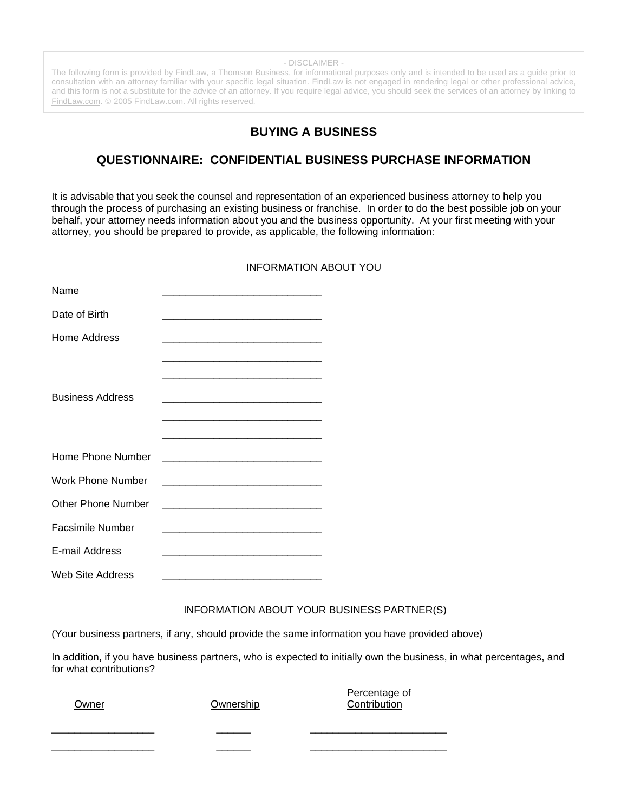- DISCLAIMER -

The following form is provided by FindLaw, a Thomson Business, for informational purposes only and is intended to be used as a guide prior to consultation with an attorney familiar with your specific legal situation. FindLaw is not engaged in rendering legal or other professional advice, and this form is not a substitute for the advice of an attorney. If you require legal advice, you should seek the services of an attorney by linking to [FindLaw.com.](http://www.findlaw.com/) © 2005 FindLaw.com. All rights reserved.

# **BUYING A BUSINESS**

# **QUESTIONNAIRE: CONFIDENTIAL BUSINESS PURCHASE INFORMATION**

It is advisable that you seek the counsel and representation of an experienced business attorney to help you through the process of purchasing an existing business or franchise. In order to do the best possible job on your behalf, your attorney needs information about you and the business opportunity. At your first meeting with your attorney, you should be prepared to provide, as applicable, the following information:

## INFORMATION ABOUT YOU

| Name                      |                                                                |
|---------------------------|----------------------------------------------------------------|
| Date of Birth             |                                                                |
| Home Address              |                                                                |
|                           |                                                                |
|                           | <u> 1989 - Johann Barbara, margaret eta idazlea (h. 1989).</u> |
| <b>Business Address</b>   |                                                                |
|                           |                                                                |
| Home Phone Number         |                                                                |
| <b>Work Phone Number</b>  |                                                                |
| <b>Other Phone Number</b> |                                                                |
| Facsimile Number          |                                                                |
| E-mail Address            |                                                                |
| Web Site Address          |                                                                |

### INFORMATION ABOUT YOUR BUSINESS PARTNER(S)

(Your business partners, if any, should provide the same information you have provided above)

In addition, if you have business partners, who is expected to initially own the business, in what percentages, and for what contributions?

| Owner | Ownership | Percentage of<br>Contribution |
|-------|-----------|-------------------------------|
|       |           |                               |
|       |           |                               |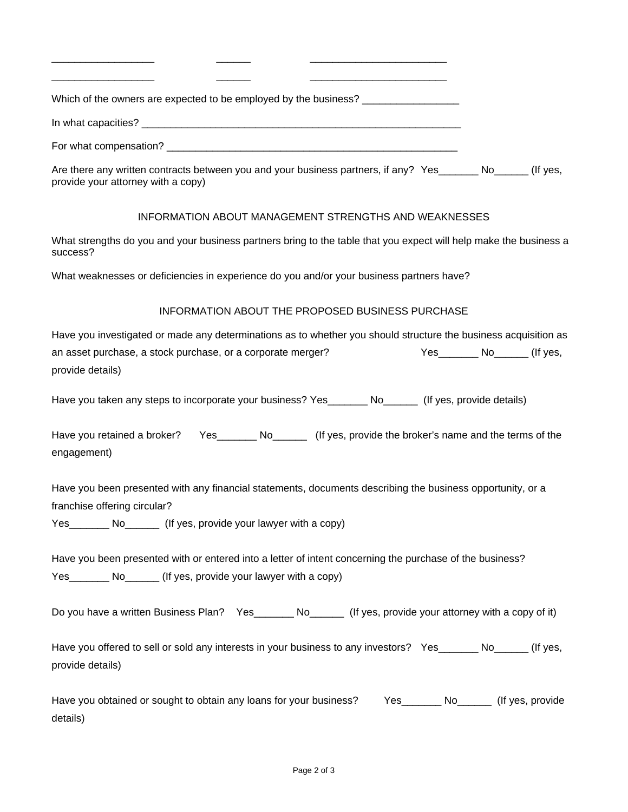| Which of the owners are expected to be employed by the business? _______________                                                               |  |  |  |  |  |
|------------------------------------------------------------------------------------------------------------------------------------------------|--|--|--|--|--|
|                                                                                                                                                |  |  |  |  |  |
|                                                                                                                                                |  |  |  |  |  |
| Are there any written contracts between you and your business partners, if any? Yes No No No No (If yes,<br>provide your attorney with a copy) |  |  |  |  |  |
| INFORMATION ABOUT MANAGEMENT STRENGTHS AND WEAKNESSES                                                                                          |  |  |  |  |  |
| What strengths do you and your business partners bring to the table that you expect will help make the business a<br>success?                  |  |  |  |  |  |

What weaknesses or deficiencies in experience do you and/or your business partners have?

\_\_\_\_\_\_\_\_\_\_\_\_\_\_\_\_\_\_ \_\_\_\_\_\_ \_\_\_\_\_\_\_\_\_\_\_\_\_\_\_\_\_\_\_\_\_\_\_\_

#### INFORMATION ABOUT THE PROPOSED BUSINESS PURCHASE

Have you investigated or made any determinations as to whether you should structure the business acquisition as an asset purchase, a stock purchase, or a corporate merger? The Ves The Mo The Control of yes, provide details)

Have you taken any steps to incorporate your business? Yes\_\_\_\_\_\_\_\_ No\_\_\_\_\_\_\_ (If yes, provide details)

Have you retained a broker? Yes Mo (If yes, provide the broker's name and the terms of the engagement)

Have you been presented with any financial statements, documents describing the business opportunity, or a franchise offering circular?

Yes\_\_\_\_\_\_\_\_\_ No\_\_\_\_\_\_\_\_ (If yes, provide your lawyer with a copy)

Have you been presented with or entered into a letter of intent concerning the purchase of the business? Yes No<sub>ull</sub> No<sub>ull</sub> (If yes, provide your lawyer with a copy)

Do you have a written Business Plan? Yes\_\_\_\_\_\_\_ No\_\_\_\_\_\_ (If yes, provide your attorney with a copy of it)

Have you offered to sell or sold any interests in your business to any investors? Yes No No No States, (If yes, provide details)

Have you obtained or sought to obtain any loans for your business? The State Moult (If yes, provide details)